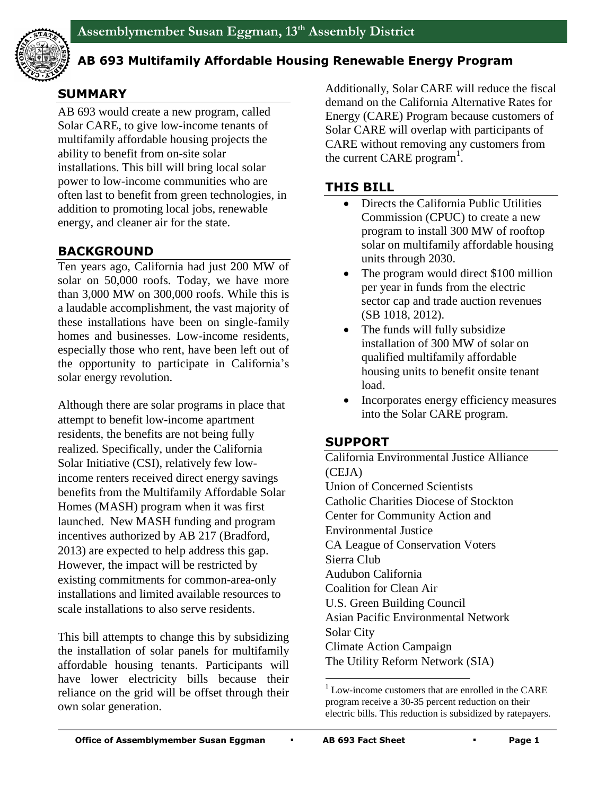

#### **AB 693 Multifamily Affordable Housing Renewable Energy Program**

# **SUMMARY**

AB 693 would create a new program, called Solar CARE, to give low-income tenants of multifamily affordable housing projects the ability to benefit from on-site solar installations. This bill will bring local solar power to low-income communities who are often last to benefit from green technologies, in addition to promoting local jobs, renewable energy, and cleaner air for the state.

## **BACKGROUND**

Ten years ago, California had just 200 MW of solar on 50,000 roofs. Today, we have more than 3,000 MW on 300,000 roofs. While this is a laudable accomplishment, the vast majority of these installations have been on single-family homes and businesses. Low-income residents, especially those who rent, have been left out of the opportunity to participate in California's solar energy revolution.

Although there are solar programs in place that attempt to benefit low-income apartment residents, the benefits are not being fully realized. Specifically, under the California Solar Initiative (CSI), relatively few lowincome renters received direct energy savings benefits from the Multifamily Affordable Solar Homes (MASH) program when it was first launched. New MASH funding and program incentives authorized by AB 217 (Bradford, 2013) are expected to help address this gap. However, the impact will be restricted by existing commitments for common-area-only installations and limited available resources to scale installations to also serve residents.

This bill attempts to change this by subsidizing the installation of solar panels for multifamily affordable housing tenants. Participants will have lower electricity bills because their reliance on the grid will be offset through their own solar generation.

Additionally, Solar CARE will reduce the fiscal demand on the California Alternative Rates for Energy (CARE) Program because customers of Solar CARE will overlap with participants of CARE without removing any customers from the current CARE program<sup>1</sup>.

## **THIS BILL**

- Directs the California Public Utilities Commission (CPUC) to create a new program to install 300 MW of rooftop solar on multifamily affordable housing units through 2030.
- The program would direct \$100 million per year in funds from the electric sector cap and trade auction revenues (SB 1018, 2012).
- The funds will fully subsidize installation of 300 MW of solar on qualified multifamily affordable housing units to benefit onsite tenant load.
- Incorporates energy efficiency measures into the Solar CARE program.

## **SUPPORT**

California Environmental Justice Alliance (CEJA) Union of Concerned Scientists Catholic Charities Diocese of Stockton Center for Community Action and Environmental Justice CA League of Conservation Voters Sierra Club Audubon California Coalition for Clean Air U.S. Green Building Council Asian Pacific Environmental Network Solar City Climate Action Campaign The Utility Reform Network (SIA)

 $\overline{a}$ 

 $1$  Low-income customers that are enrolled in the CARE program receive a 30-35 percent reduction on their electric bills. This reduction is subsidized by ratepayers.